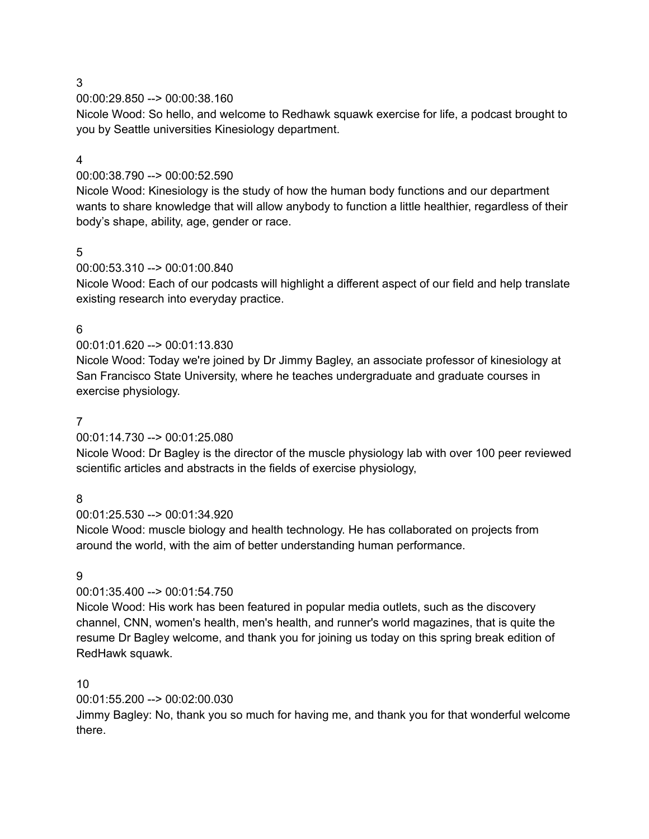00:00:29.850 --> 00:00:38.160

Nicole Wood: So hello, and welcome to Redhawk squawk exercise for life, a podcast brought to you by Seattle universities Kinesiology department.

### 4

# 00:00:38.790 --> 00:00:52.590

Nicole Wood: Kinesiology is the study of how the human body functions and our department wants to share knowledge that will allow anybody to function a little healthier, regardless of their body's shape, ability, age, gender or race.

# 5

# 00:00:53.310 --> 00:01:00.840

Nicole Wood: Each of our podcasts will highlight a different aspect of our field and help translate existing research into everyday practice.

# 6

# 00:01:01.620 --> 00:01:13.830

Nicole Wood: Today we're joined by Dr Jimmy Bagley, an associate professor of kinesiology at San Francisco State University, where he teaches undergraduate and graduate courses in exercise physiology.

# 7

# 00:01:14.730 --> 00:01:25.080

Nicole Wood: Dr Bagley is the director of the muscle physiology lab with over 100 peer reviewed scientific articles and abstracts in the fields of exercise physiology,

# 8

# 00:01:25.530 --> 00:01:34.920

Nicole Wood: muscle biology and health technology. He has collaborated on projects from around the world, with the aim of better understanding human performance.

# 9

# 00:01:35.400 --> 00:01:54.750

Nicole Wood: His work has been featured in popular media outlets, such as the discovery channel, CNN, women's health, men's health, and runner's world magazines, that is quite the resume Dr Bagley welcome, and thank you for joining us today on this spring break edition of RedHawk squawk.

# 10

# 00:01:55.200 --> 00:02:00.030

Jimmy Bagley: No, thank you so much for having me, and thank you for that wonderful welcome there.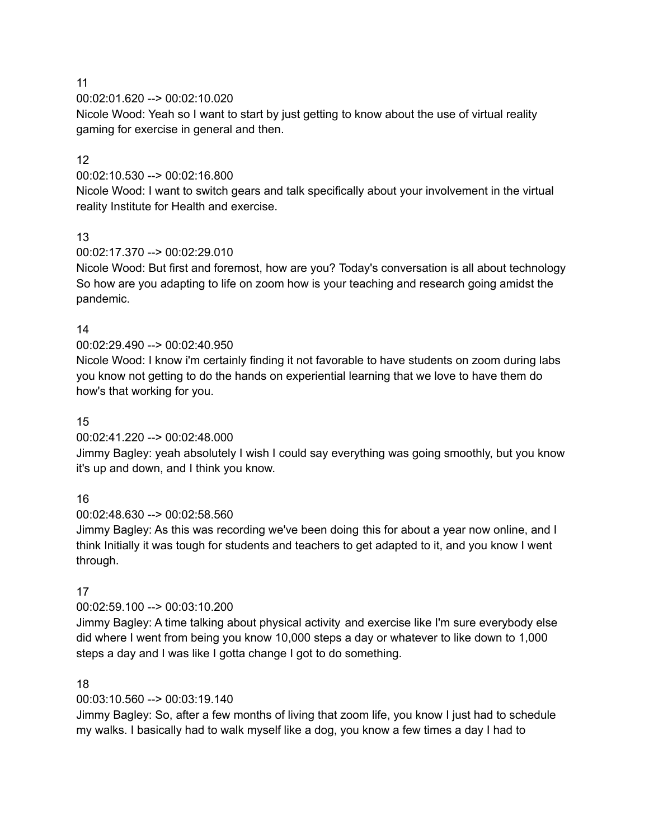00:02:01.620 --> 00:02:10.020

Nicole Wood: Yeah so I want to start by just getting to know about the use of virtual reality gaming for exercise in general and then.

# 12

00:02:10.530 --> 00:02:16.800

Nicole Wood: I want to switch gears and talk specifically about your involvement in the virtual reality Institute for Health and exercise.

# 13

00:02:17.370 --> 00:02:29.010

Nicole Wood: But first and foremost, how are you? Today's conversation is all about technology So how are you adapting to life on zoom how is your teaching and research going amidst the pandemic.

# 14

00:02:29.490 --> 00:02:40.950

Nicole Wood: I know i'm certainly finding it not favorable to have students on zoom during labs you know not getting to do the hands on experiential learning that we love to have them do how's that working for you.

# 15

00:02:41.220 --> 00:02:48.000

Jimmy Bagley: yeah absolutely I wish I could say everything was going smoothly, but you know it's up and down, and I think you know.

# 16

00:02:48.630 --> 00:02:58.560

Jimmy Bagley: As this was recording we've been doing this for about a year now online, and I think Initially it was tough for students and teachers to get adapted to it, and you know I went through.

# 17

00:02:59.100 --> 00:03:10.200

Jimmy Bagley: A time talking about physical activity and exercise like I'm sure everybody else did where I went from being you know 10,000 steps a day or whatever to like down to 1,000 steps a day and I was like I gotta change I got to do something.

# 18

00:03:10.560 --> 00:03:19.140

Jimmy Bagley: So, after a few months of living that zoom life, you know I just had to schedule my walks. I basically had to walk myself like a dog, you know a few times a day I had to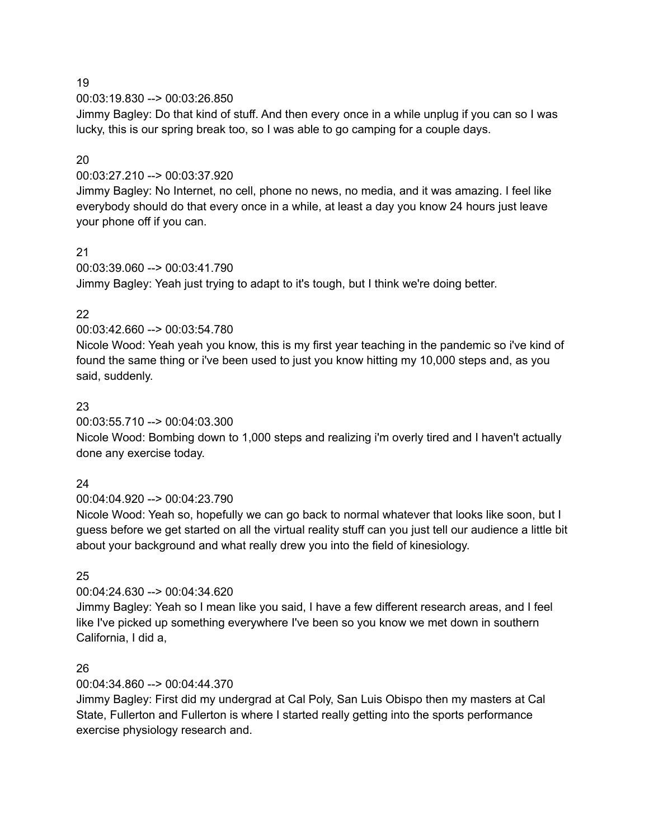00:03:19.830 --> 00:03:26.850

Jimmy Bagley: Do that kind of stuff. And then every once in a while unplug if you can so I was lucky, this is our spring break too, so I was able to go camping for a couple days.

# 20

### 00:03:27.210 --> 00:03:37.920

Jimmy Bagley: No Internet, no cell, phone no news, no media, and it was amazing. I feel like everybody should do that every once in a while, at least a day you know 24 hours just leave your phone off if you can.

### 21

00:03:39.060 --> 00:03:41.790 Jimmy Bagley: Yeah just trying to adapt to it's tough, but I think we're doing better.

# 22

### 00:03:42.660 --> 00:03:54.780

Nicole Wood: Yeah yeah you know, this is my first year teaching in the pandemic so i've kind of found the same thing or i've been used to just you know hitting my 10,000 steps and, as you said, suddenly.

# 23

# 00:03:55.710 --> 00:04:03.300

Nicole Wood: Bombing down to 1,000 steps and realizing i'm overly tired and I haven't actually done any exercise today.

# 24

# 00:04:04.920 --> 00:04:23.790

Nicole Wood: Yeah so, hopefully we can go back to normal whatever that looks like soon, but I guess before we get started on all the virtual reality stuff can you just tell our audience a little bit about your background and what really drew you into the field of kinesiology.

# 25

# 00:04:24.630 --> 00:04:34.620

Jimmy Bagley: Yeah so I mean like you said, I have a few different research areas, and I feel like I've picked up something everywhere I've been so you know we met down in southern California, I did a,

#### 26

# 00:04:34.860 --> 00:04:44.370

Jimmy Bagley: First did my undergrad at Cal Poly, San Luis Obispo then my masters at Cal State, Fullerton and Fullerton is where I started really getting into the sports performance exercise physiology research and.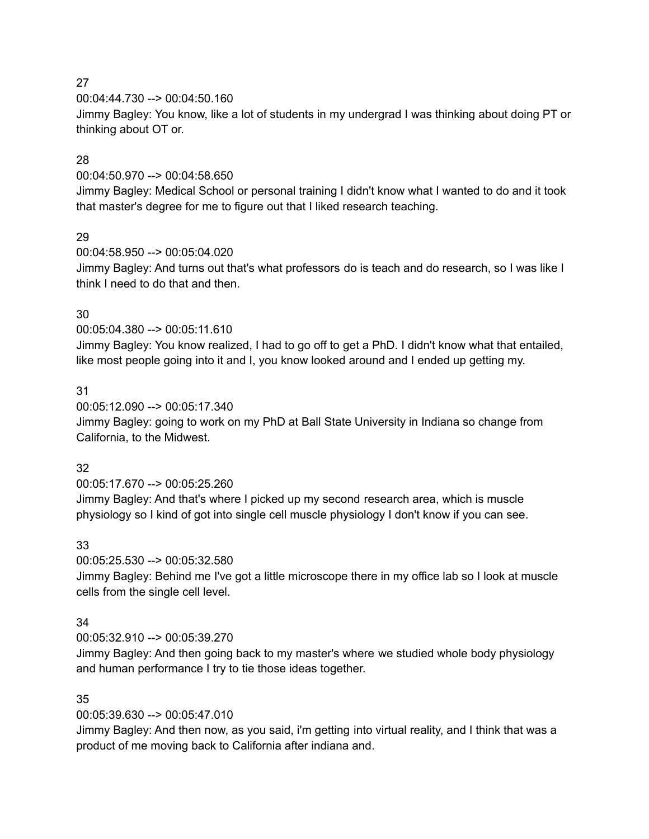00:04:44.730 --> 00:04:50.160

Jimmy Bagley: You know, like a lot of students in my undergrad I was thinking about doing PT or thinking about OT or.

### 28

00:04:50.970 --> 00:04:58.650

Jimmy Bagley: Medical School or personal training I didn't know what I wanted to do and it took that master's degree for me to figure out that I liked research teaching.

### 29

00:04:58.950 --> 00:05:04.020

Jimmy Bagley: And turns out that's what professors do is teach and do research, so I was like I think I need to do that and then.

### 30

00:05:04.380 --> 00:05:11.610

Jimmy Bagley: You know realized, I had to go off to get a PhD. I didn't know what that entailed, like most people going into it and I, you know looked around and I ended up getting my.

### 31

00:05:12.090 --> 00:05:17.340

Jimmy Bagley: going to work on my PhD at Ball State University in Indiana so change from California, to the Midwest.

#### 32

00:05:17.670 --> 00:05:25.260 Jimmy Bagley: And that's where I picked up my second research area, which is muscle physiology so I kind of got into single cell muscle physiology I don't know if you can see.

#### 33

00:05:25.530 --> 00:05:32.580

Jimmy Bagley: Behind me I've got a little microscope there in my office lab so I look at muscle cells from the single cell level.

#### 34

00:05:32.910 --> 00:05:39.270

Jimmy Bagley: And then going back to my master's where we studied whole body physiology and human performance I try to tie those ideas together.

# 35

00:05:39.630 --> 00:05:47.010

Jimmy Bagley: And then now, as you said, i'm getting into virtual reality, and I think that was a product of me moving back to California after indiana and.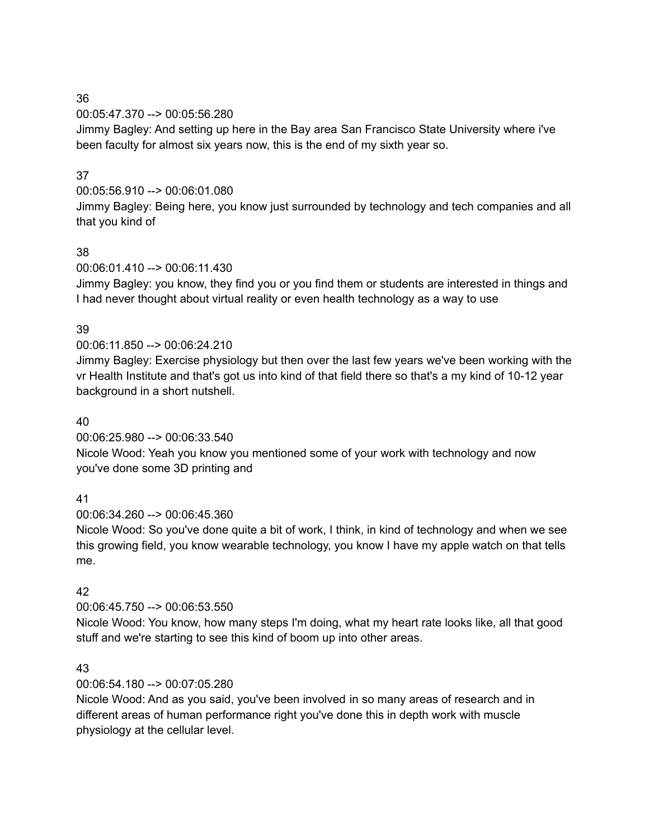00:05:47.370 --> 00:05:56.280

Jimmy Bagley: And setting up here in the Bay area San Francisco State University where i've been faculty for almost six years now, this is the end of my sixth year so.

### 37

00:05:56.910 --> 00:06:01.080

Jimmy Bagley: Being here, you know just surrounded by technology and tech companies and all that you kind of

### 38

00:06:01.410 --> 00:06:11.430

Jimmy Bagley: you know, they find you or you find them or students are interested in things and I had never thought about virtual reality or even health technology as a way to use

### 39

00:06:11.850 --> 00:06:24.210

Jimmy Bagley: Exercise physiology but then over the last few years we've been working with the vr Health Institute and that's got us into kind of that field there so that's a my kind of 10-12 year background in a short nutshell.

### 40

00:06:25.980 --> 00:06:33.540

Nicole Wood: Yeah you know you mentioned some of your work with technology and now you've done some 3D printing and

# 41

00:06:34.260 --> 00:06:45.360

Nicole Wood: So you've done quite a bit of work, I think, in kind of technology and when we see this growing field, you know wearable technology, you know I have my apple watch on that tells me.

# 42

00:06:45.750 --> 00:06:53.550

Nicole Wood: You know, how many steps I'm doing, what my heart rate looks like, all that good stuff and we're starting to see this kind of boom up into other areas.

# 43

00:06:54.180 --> 00:07:05.280

Nicole Wood: And as you said, you've been involved in so many areas of research and in different areas of human performance right you've done this in depth work with muscle physiology at the cellular level.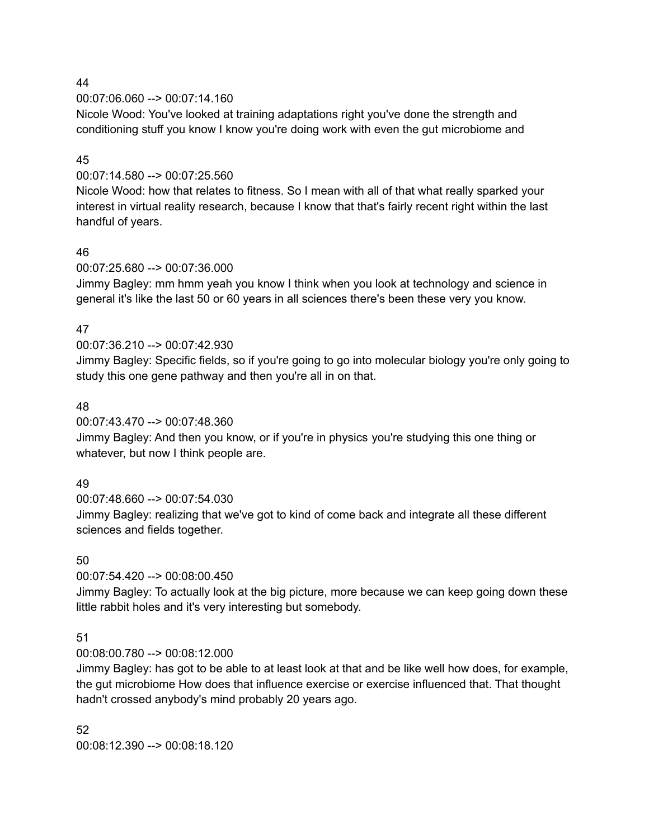00:07:06.060 --> 00:07:14.160

Nicole Wood: You've looked at training adaptations right you've done the strength and conditioning stuff you know I know you're doing work with even the gut microbiome and

### 45

# 00:07:14.580 --> 00:07:25.560

Nicole Wood: how that relates to fitness. So I mean with all of that what really sparked your interest in virtual reality research, because I know that that's fairly recent right within the last handful of years.

### 46

### 00:07:25.680 --> 00:07:36.000

Jimmy Bagley: mm hmm yeah you know I think when you look at technology and science in general it's like the last 50 or 60 years in all sciences there's been these very you know.

### 47

# 00:07:36.210 --> 00:07:42.930

Jimmy Bagley: Specific fields, so if you're going to go into molecular biology you're only going to study this one gene pathway and then you're all in on that.

### 48

00:07:43.470 --> 00:07:48.360

Jimmy Bagley: And then you know, or if you're in physics you're studying this one thing or whatever, but now I think people are.

#### 49

00:07:48.660 --> 00:07:54.030

Jimmy Bagley: realizing that we've got to kind of come back and integrate all these different sciences and fields together.

# 50

# 00:07:54.420 --> 00:08:00.450

Jimmy Bagley: To actually look at the big picture, more because we can keep going down these little rabbit holes and it's very interesting but somebody.

# 51

00:08:00.780 --> 00:08:12.000

Jimmy Bagley: has got to be able to at least look at that and be like well how does, for example, the gut microbiome How does that influence exercise or exercise influenced that. That thought hadn't crossed anybody's mind probably 20 years ago.

52 00:08:12.390 --> 00:08:18.120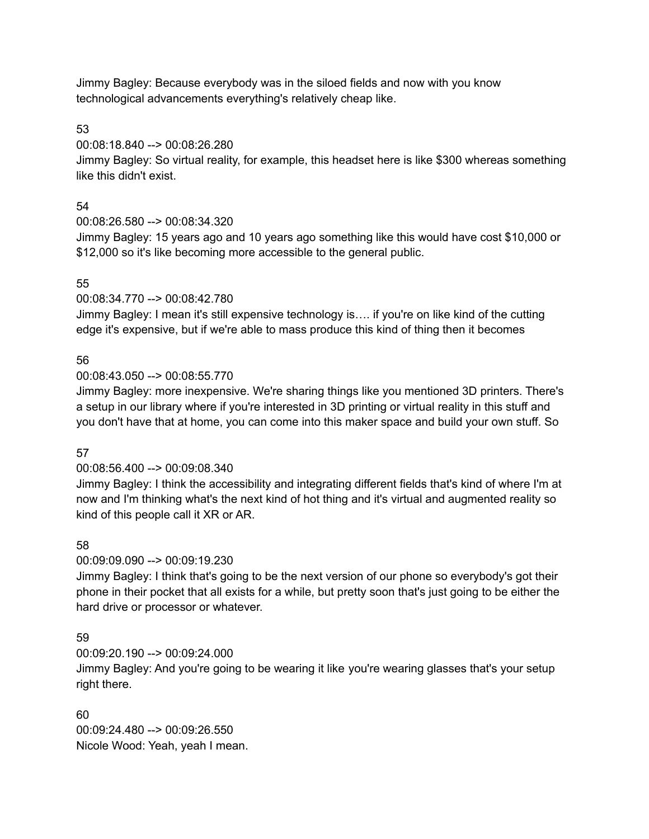Jimmy Bagley: Because everybody was in the siloed fields and now with you know technological advancements everything's relatively cheap like.

53

00:08:18.840 --> 00:08:26.280

Jimmy Bagley: So virtual reality, for example, this headset here is like \$300 whereas something like this didn't exist.

# 54

00:08:26.580 --> 00:08:34.320

Jimmy Bagley: 15 years ago and 10 years ago something like this would have cost \$10,000 or \$12,000 so it's like becoming more accessible to the general public.

# 55

00:08:34.770 --> 00:08:42.780

Jimmy Bagley: I mean it's still expensive technology is…. if you're on like kind of the cutting edge it's expensive, but if we're able to mass produce this kind of thing then it becomes

# 56

00:08:43.050 --> 00:08:55.770

Jimmy Bagley: more inexpensive. We're sharing things like you mentioned 3D printers. There's a setup in our library where if you're interested in 3D printing or virtual reality in this stuff and you don't have that at home, you can come into this maker space and build your own stuff. So

# 57

# 00:08:56.400 --> 00:09:08.340

Jimmy Bagley: I think the accessibility and integrating different fields that's kind of where I'm at now and I'm thinking what's the next kind of hot thing and it's virtual and augmented reality so kind of this people call it XR or AR.

# 58

00:09:09.090 --> 00:09:19.230

Jimmy Bagley: I think that's going to be the next version of our phone so everybody's got their phone in their pocket that all exists for a while, but pretty soon that's just going to be either the hard drive or processor or whatever.

# 59

00:09:20.190 --> 00:09:24.000

Jimmy Bagley: And you're going to be wearing it like you're wearing glasses that's your setup right there.

60 00:09:24.480 --> 00:09:26.550 Nicole Wood: Yeah, yeah I mean.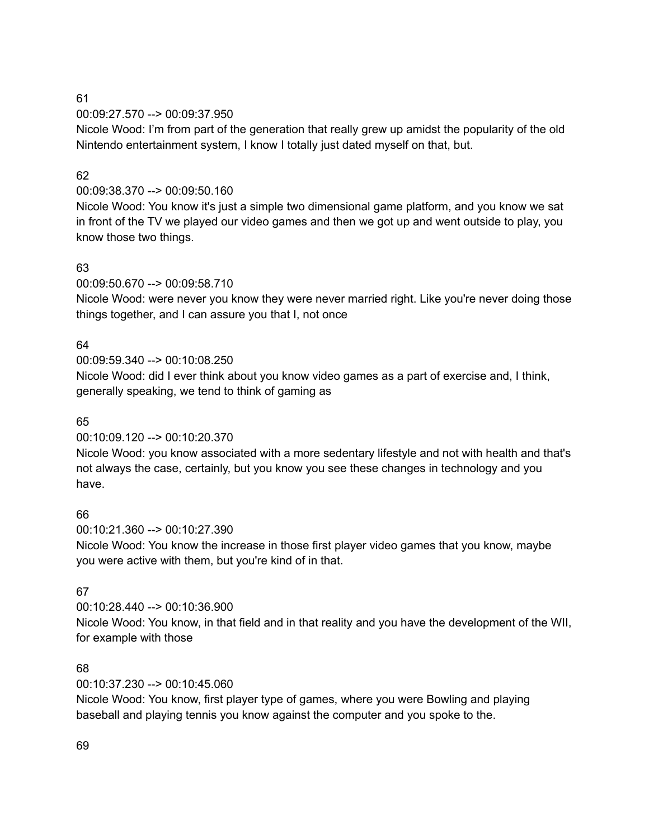00:09:27.570 --> 00:09:37.950

Nicole Wood: I'm from part of the generation that really grew up amidst the popularity of the old Nintendo entertainment system, I know I totally just dated myself on that, but.

### 62

00:09:38.370 --> 00:09:50.160

Nicole Wood: You know it's just a simple two dimensional game platform, and you know we sat in front of the TV we played our video games and then we got up and went outside to play, you know those two things.

# 63

00:09:50.670 --> 00:09:58.710

Nicole Wood: were never you know they were never married right. Like you're never doing those things together, and I can assure you that I, not once

### 64

00:09:59.340 --> 00:10:08.250

Nicole Wood: did I ever think about you know video games as a part of exercise and, I think, generally speaking, we tend to think of gaming as

# 65

00:10:09.120 --> 00:10:20.370

Nicole Wood: you know associated with a more sedentary lifestyle and not with health and that's not always the case, certainly, but you know you see these changes in technology and you have.

# 66

00:10:21.360 --> 00:10:27.390

Nicole Wood: You know the increase in those first player video games that you know, maybe you were active with them, but you're kind of in that.

# 67

00:10:28.440 --> 00:10:36.900

Nicole Wood: You know, in that field and in that reality and you have the development of the WII, for example with those

# 68

00:10:37.230 --> 00:10:45.060

Nicole Wood: You know, first player type of games, where you were Bowling and playing baseball and playing tennis you know against the computer and you spoke to the.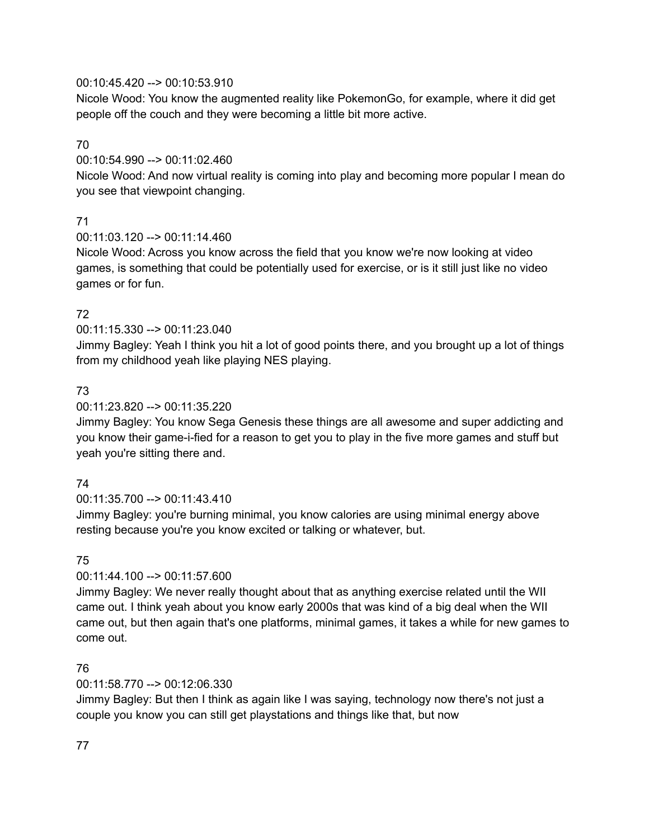### 00:10:45.420 --> 00:10:53.910

Nicole Wood: You know the augmented reality like PokemonGo, for example, where it did get people off the couch and they were becoming a little bit more active.

# 70

00:10:54.990 --> 00:11:02.460

Nicole Wood: And now virtual reality is coming into play and becoming more popular I mean do you see that viewpoint changing.

# 71

00:11:03.120 --> 00:11:14.460

Nicole Wood: Across you know across the field that you know we're now looking at video games, is something that could be potentially used for exercise, or is it still just like no video games or for fun.

# 72

# 00:11:15.330 --> 00:11:23.040

Jimmy Bagley: Yeah I think you hit a lot of good points there, and you brought up a lot of things from my childhood yeah like playing NES playing.

# 73

# 00:11:23.820 --> 00:11:35.220

Jimmy Bagley: You know Sega Genesis these things are all awesome and super addicting and you know their game-i-fied for a reason to get you to play in the five more games and stuff but yeah you're sitting there and.

# 74

# 00:11:35.700 --> 00:11:43.410

Jimmy Bagley: you're burning minimal, you know calories are using minimal energy above resting because you're you know excited or talking or whatever, but.

# 75

# 00:11:44.100 --> 00:11:57.600

Jimmy Bagley: We never really thought about that as anything exercise related until the WII came out. I think yeah about you know early 2000s that was kind of a big deal when the WII came out, but then again that's one platforms, minimal games, it takes a while for new games to come out.

# 76

# 00:11:58.770 --> 00:12:06.330

Jimmy Bagley: But then I think as again like I was saying, technology now there's not just a couple you know you can still get playstations and things like that, but now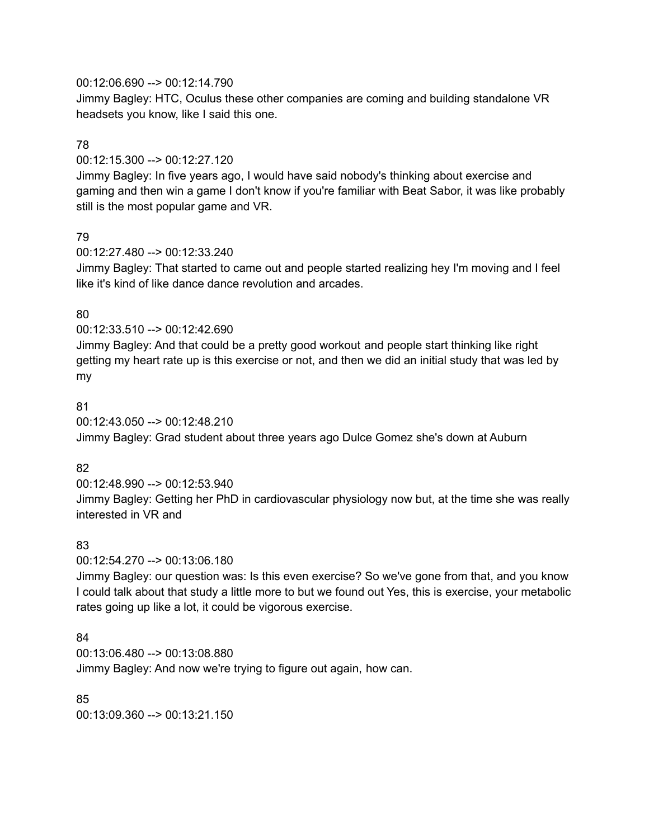00:12:06.690 --> 00:12:14.790

Jimmy Bagley: HTC, Oculus these other companies are coming and building standalone VR headsets you know, like I said this one.

# 78

00:12:15.300 --> 00:12:27.120

Jimmy Bagley: In five years ago, I would have said nobody's thinking about exercise and gaming and then win a game I don't know if you're familiar with Beat Sabor, it was like probably still is the most popular game and VR.

# 79

00:12:27.480 --> 00:12:33.240

Jimmy Bagley: That started to came out and people started realizing hey I'm moving and I feel like it's kind of like dance dance revolution and arcades.

# 80

00:12:33.510 --> 00:12:42.690

Jimmy Bagley: And that could be a pretty good workout and people start thinking like right getting my heart rate up is this exercise or not, and then we did an initial study that was led by my

### 81

00:12:43.050 --> 00:12:48.210

Jimmy Bagley: Grad student about three years ago Dulce Gomez she's down at Auburn

# 82

00:12:48.990 --> 00:12:53.940 Jimmy Bagley: Getting her PhD in cardiovascular physiology now but, at the time she was really interested in VR and

# 83

00:12:54.270 --> 00:13:06.180

Jimmy Bagley: our question was: Is this even exercise? So we've gone from that, and you know I could talk about that study a little more to but we found out Yes, this is exercise, your metabolic rates going up like a lot, it could be vigorous exercise.

# 84

00:13:06.480 --> 00:13:08.880 Jimmy Bagley: And now we're trying to figure out again, how can.

85 00:13:09.360 --> 00:13:21.150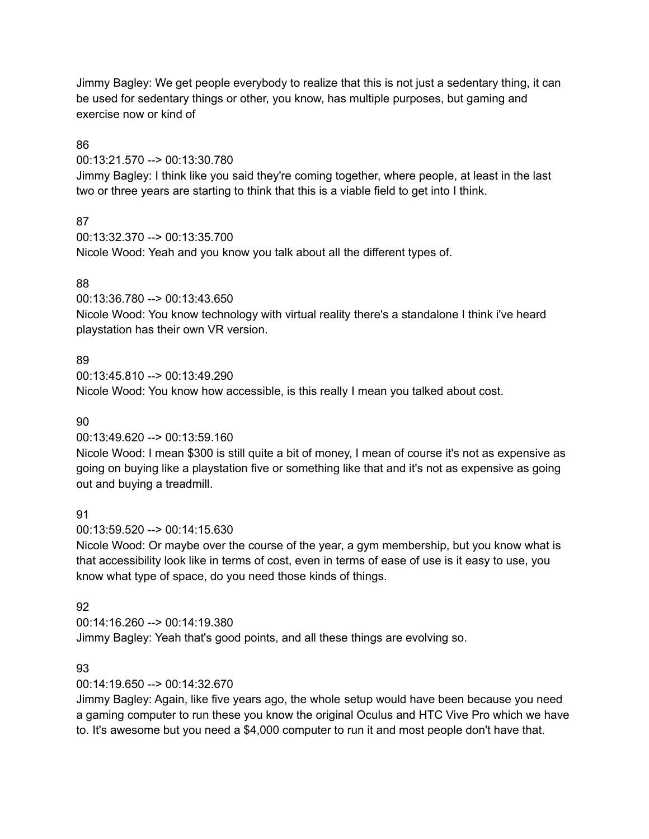Jimmy Bagley: We get people everybody to realize that this is not just a sedentary thing, it can be used for sedentary things or other, you know, has multiple purposes, but gaming and exercise now or kind of

# 86

00:13:21.570 --> 00:13:30.780

Jimmy Bagley: I think like you said they're coming together, where people, at least in the last two or three years are starting to think that this is a viable field to get into I think.

# 87

00:13:32.370 --> 00:13:35.700 Nicole Wood: Yeah and you know you talk about all the different types of.

# 88

00:13:36.780 --> 00:13:43.650

Nicole Wood: You know technology with virtual reality there's a standalone I think i've heard playstation has their own VR version.

# 89

00:13:45.810 --> 00:13:49.290 Nicole Wood: You know how accessible, is this really I mean you talked about cost.

# 90

00:13:49.620 --> 00:13:59.160

Nicole Wood: I mean \$300 is still quite a bit of money, I mean of course it's not as expensive as going on buying like a playstation five or something like that and it's not as expensive as going out and buying a treadmill.

# 91

00:13:59.520 --> 00:14:15.630

Nicole Wood: Or maybe over the course of the year, a gym membership, but you know what is that accessibility look like in terms of cost, even in terms of ease of use is it easy to use, you know what type of space, do you need those kinds of things.

# 92

00:14:16.260 --> 00:14:19.380 Jimmy Bagley: Yeah that's good points, and all these things are evolving so.

# 93

00:14:19.650 --> 00:14:32.670

Jimmy Bagley: Again, like five years ago, the whole setup would have been because you need a gaming computer to run these you know the original Oculus and HTC Vive Pro which we have to. It's awesome but you need a \$4,000 computer to run it and most people don't have that.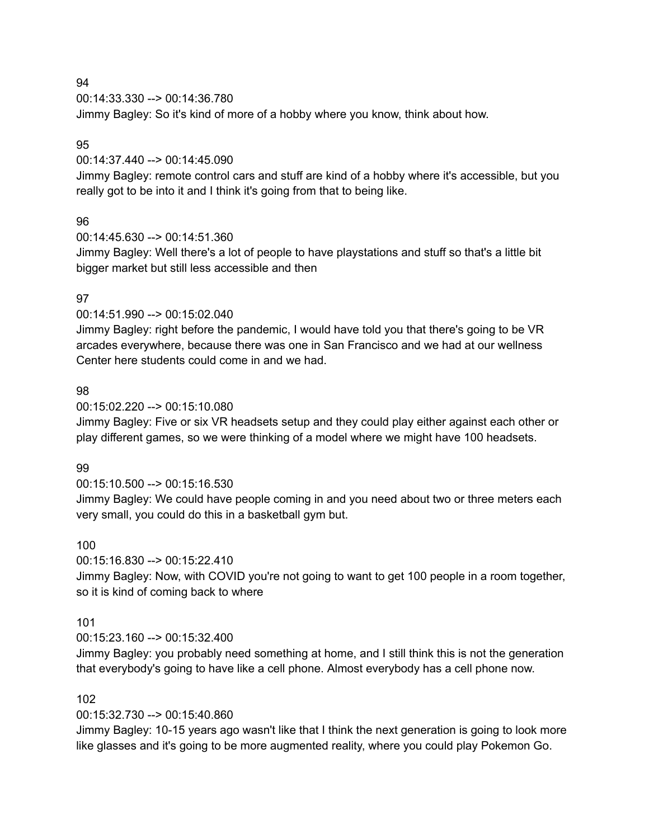00:14:33.330 --> 00:14:36.780 Jimmy Bagley: So it's kind of more of a hobby where you know, think about how.

#### 95

#### 00:14:37.440 --> 00:14:45.090

Jimmy Bagley: remote control cars and stuff are kind of a hobby where it's accessible, but you really got to be into it and I think it's going from that to being like.

#### 96

00:14:45.630 --> 00:14:51.360

Jimmy Bagley: Well there's a lot of people to have playstations and stuff so that's a little bit bigger market but still less accessible and then

### 97

### 00:14:51.990 --> 00:15:02.040

Jimmy Bagley: right before the pandemic, I would have told you that there's going to be VR arcades everywhere, because there was one in San Francisco and we had at our wellness Center here students could come in and we had.

#### 98

#### 00:15:02.220 --> 00:15:10.080

Jimmy Bagley: Five or six VR headsets setup and they could play either against each other or play different games, so we were thinking of a model where we might have 100 headsets.

#### 99

#### 00:15:10.500 --> 00:15:16.530

Jimmy Bagley: We could have people coming in and you need about two or three meters each very small, you could do this in a basketball gym but.

#### 100

# 00:15:16.830 --> 00:15:22.410

Jimmy Bagley: Now, with COVID you're not going to want to get 100 people in a room together, so it is kind of coming back to where

#### 101

#### 00:15:23.160 --> 00:15:32.400

Jimmy Bagley: you probably need something at home, and I still think this is not the generation that everybody's going to have like a cell phone. Almost everybody has a cell phone now.

#### 102

# 00:15:32.730 --> 00:15:40.860

Jimmy Bagley: 10-15 years ago wasn't like that I think the next generation is going to look more like glasses and it's going to be more augmented reality, where you could play Pokemon Go.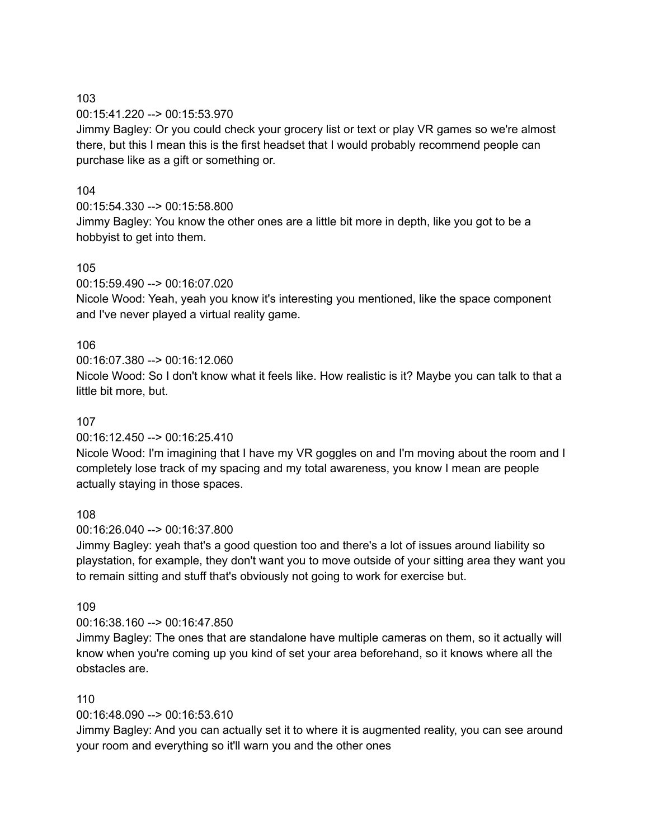00:15:41.220 --> 00:15:53.970

Jimmy Bagley: Or you could check your grocery list or text or play VR games so we're almost there, but this I mean this is the first headset that I would probably recommend people can purchase like as a gift or something or.

# 104

00:15:54.330 --> 00:15:58.800 Jimmy Bagley: You know the other ones are a little bit more in depth, like you got to be a hobbyist to get into them.

# 105

00:15:59.490 --> 00:16:07.020

Nicole Wood: Yeah, yeah you know it's interesting you mentioned, like the space component and I've never played a virtual reality game.

# 106

00:16:07.380 --> 00:16:12.060 Nicole Wood: So I don't know what it feels like. How realistic is it? Maybe you can talk to that a little bit more, but.

# 107

00:16:12.450 --> 00:16:25.410

Nicole Wood: I'm imagining that I have my VR goggles on and I'm moving about the room and I completely lose track of my spacing and my total awareness, you know I mean are people actually staying in those spaces.

# 108

00:16:26.040 --> 00:16:37.800

Jimmy Bagley: yeah that's a good question too and there's a lot of issues around liability so playstation, for example, they don't want you to move outside of your sitting area they want you to remain sitting and stuff that's obviously not going to work for exercise but.

# 109

00:16:38.160 --> 00:16:47.850

Jimmy Bagley: The ones that are standalone have multiple cameras on them, so it actually will know when you're coming up you kind of set your area beforehand, so it knows where all the obstacles are.

# 110

00:16:48.090 --> 00:16:53.610

Jimmy Bagley: And you can actually set it to where it is augmented reality, you can see around your room and everything so it'll warn you and the other ones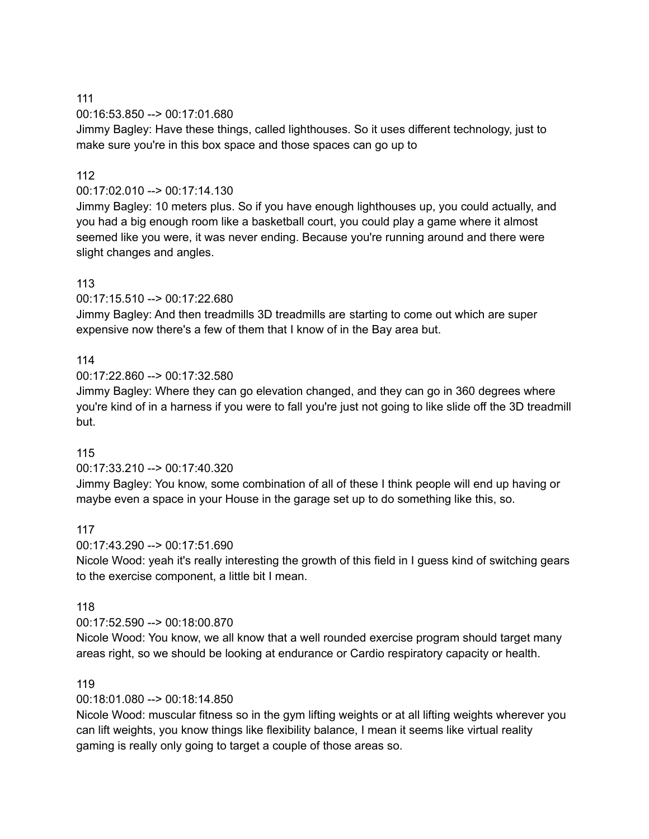00:16:53.850 --> 00:17:01.680

Jimmy Bagley: Have these things, called lighthouses. So it uses different technology, just to make sure you're in this box space and those spaces can go up to

#### 112

#### 00:17:02.010 --> 00:17:14.130

Jimmy Bagley: 10 meters plus. So if you have enough lighthouses up, you could actually, and you had a big enough room like a basketball court, you could play a game where it almost seemed like you were, it was never ending. Because you're running around and there were slight changes and angles.

#### 113

00:17:15.510 --> 00:17:22.680

Jimmy Bagley: And then treadmills 3D treadmills are starting to come out which are super expensive now there's a few of them that I know of in the Bay area but.

#### 114

00:17:22.860 --> 00:17:32.580

Jimmy Bagley: Where they can go elevation changed, and they can go in 360 degrees where you're kind of in a harness if you were to fall you're just not going to like slide off the 3D treadmill but.

#### 115

00:17:33.210 --> 00:17:40.320

Jimmy Bagley: You know, some combination of all of these I think people will end up having or maybe even a space in your House in the garage set up to do something like this, so.

#### 117

00:17:43.290 --> 00:17:51.690

Nicole Wood: yeah it's really interesting the growth of this field in I guess kind of switching gears to the exercise component, a little bit I mean.

#### 118

00:17:52.590 --> 00:18:00.870

Nicole Wood: You know, we all know that a well rounded exercise program should target many areas right, so we should be looking at endurance or Cardio respiratory capacity or health.

#### 119

00:18:01.080 --> 00:18:14.850

Nicole Wood: muscular fitness so in the gym lifting weights or at all lifting weights wherever you can lift weights, you know things like flexibility balance, I mean it seems like virtual reality gaming is really only going to target a couple of those areas so.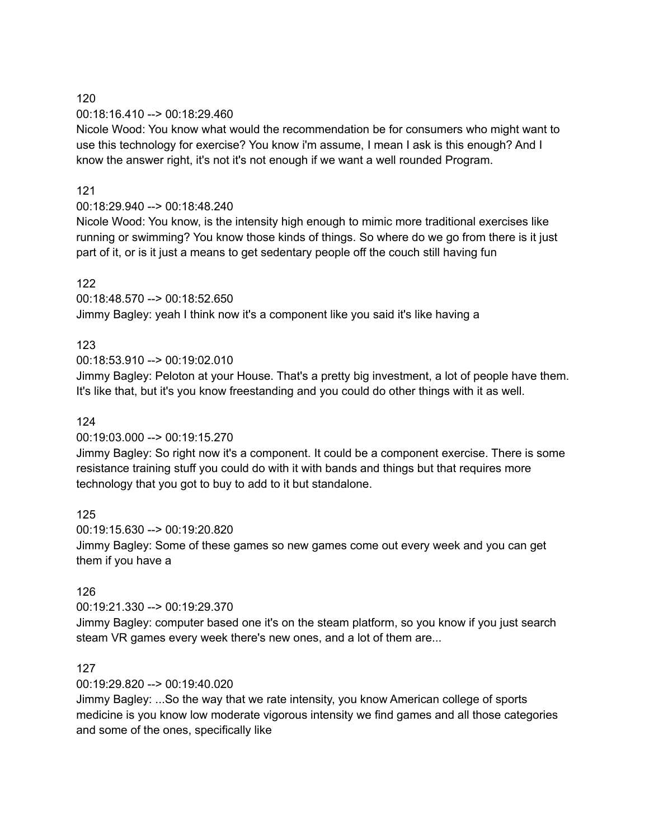00:18:16.410 --> 00:18:29.460

Nicole Wood: You know what would the recommendation be for consumers who might want to use this technology for exercise? You know i'm assume, I mean I ask is this enough? And I know the answer right, it's not it's not enough if we want a well rounded Program.

### 121

# 00:18:29.940 --> 00:18:48.240

Nicole Wood: You know, is the intensity high enough to mimic more traditional exercises like running or swimming? You know those kinds of things. So where do we go from there is it just part of it, or is it just a means to get sedentary people off the couch still having fun

# 122

00:18:48.570 --> 00:18:52.650

Jimmy Bagley: yeah I think now it's a component like you said it's like having a

# 123

00:18:53.910 --> 00:19:02.010

Jimmy Bagley: Peloton at your House. That's a pretty big investment, a lot of people have them. It's like that, but it's you know freestanding and you could do other things with it as well.

# 124

#### 00:19:03.000 --> 00:19:15.270

Jimmy Bagley: So right now it's a component. It could be a component exercise. There is some resistance training stuff you could do with it with bands and things but that requires more technology that you got to buy to add to it but standalone.

#### 125

00:19:15.630 --> 00:19:20.820

Jimmy Bagley: Some of these games so new games come out every week and you can get them if you have a

# 126

00:19:21.330 --> 00:19:29.370

Jimmy Bagley: computer based one it's on the steam platform, so you know if you just search steam VR games every week there's new ones, and a lot of them are...

#### 127

00:19:29.820 --> 00:19:40.020

Jimmy Bagley: ...So the way that we rate intensity, you know American college of sports medicine is you know low moderate vigorous intensity we find games and all those categories and some of the ones, specifically like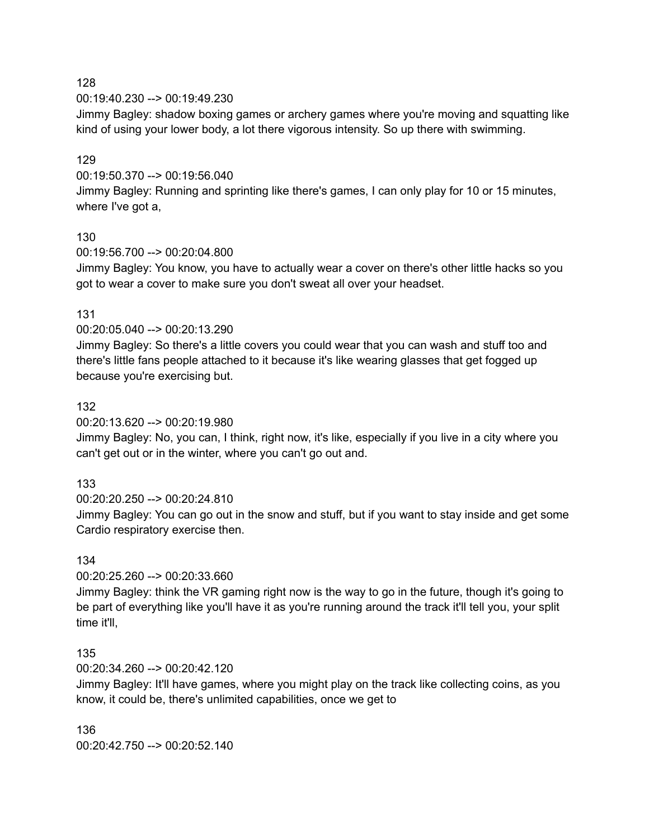00:19:40.230 --> 00:19:49.230

Jimmy Bagley: shadow boxing games or archery games where you're moving and squatting like kind of using your lower body, a lot there vigorous intensity. So up there with swimming.

### 129

00:19:50.370 --> 00:19:56.040

Jimmy Bagley: Running and sprinting like there's games, I can only play for 10 or 15 minutes, where I've got a,

#### 130

00:19:56.700 --> 00:20:04.800

Jimmy Bagley: You know, you have to actually wear a cover on there's other little hacks so you got to wear a cover to make sure you don't sweat all over your headset.

#### 131

00:20:05.040 --> 00:20:13.290

Jimmy Bagley: So there's a little covers you could wear that you can wash and stuff too and there's little fans people attached to it because it's like wearing glasses that get fogged up because you're exercising but.

#### 132

00:20:13.620 --> 00:20:19.980

Jimmy Bagley: No, you can, I think, right now, it's like, especially if you live in a city where you can't get out or in the winter, where you can't go out and.

#### 133

00:20:20.250 --> 00:20:24.810

Jimmy Bagley: You can go out in the snow and stuff, but if you want to stay inside and get some Cardio respiratory exercise then.

#### 134

00:20:25.260 --> 00:20:33.660

Jimmy Bagley: think the VR gaming right now is the way to go in the future, though it's going to be part of everything like you'll have it as you're running around the track it'll tell you, your split time it'll,

#### 135

00:20:34.260 --> 00:20:42.120

Jimmy Bagley: It'll have games, where you might play on the track like collecting coins, as you know, it could be, there's unlimited capabilities, once we get to

136 00:20:42.750 --> 00:20:52.140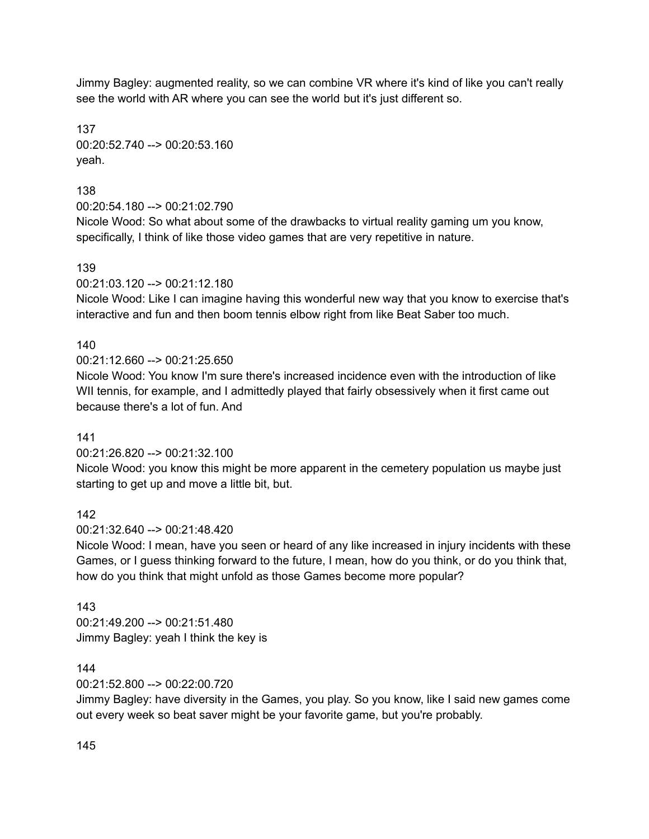Jimmy Bagley: augmented reality, so we can combine VR where it's kind of like you can't really see the world with AR where you can see the world but it's just different so.

137 00:20:52.740 --> 00:20:53.160 yeah.

138

00:20:54.180 --> 00:21:02.790

Nicole Wood: So what about some of the drawbacks to virtual reality gaming um you know, specifically, I think of like those video games that are very repetitive in nature.

139

00:21:03.120 --> 00:21:12.180

Nicole Wood: Like I can imagine having this wonderful new way that you know to exercise that's interactive and fun and then boom tennis elbow right from like Beat Saber too much.

# 140

00:21:12.660 --> 00:21:25.650

Nicole Wood: You know I'm sure there's increased incidence even with the introduction of like WII tennis, for example, and I admittedly played that fairly obsessively when it first came out because there's a lot of fun. And

# 141

# 00:21:26.820 --> 00:21:32.100

Nicole Wood: you know this might be more apparent in the cemetery population us maybe just starting to get up and move a little bit, but.

142

00:21:32.640 --> 00:21:48.420

Nicole Wood: I mean, have you seen or heard of any like increased in injury incidents with these Games, or I guess thinking forward to the future, I mean, how do you think, or do you think that, how do you think that might unfold as those Games become more popular?

# 143

00:21:49.200 --> 00:21:51.480 Jimmy Bagley: yeah I think the key is

# 144

00:21:52.800 --> 00:22:00.720

Jimmy Bagley: have diversity in the Games, you play. So you know, like I said new games come out every week so beat saver might be your favorite game, but you're probably.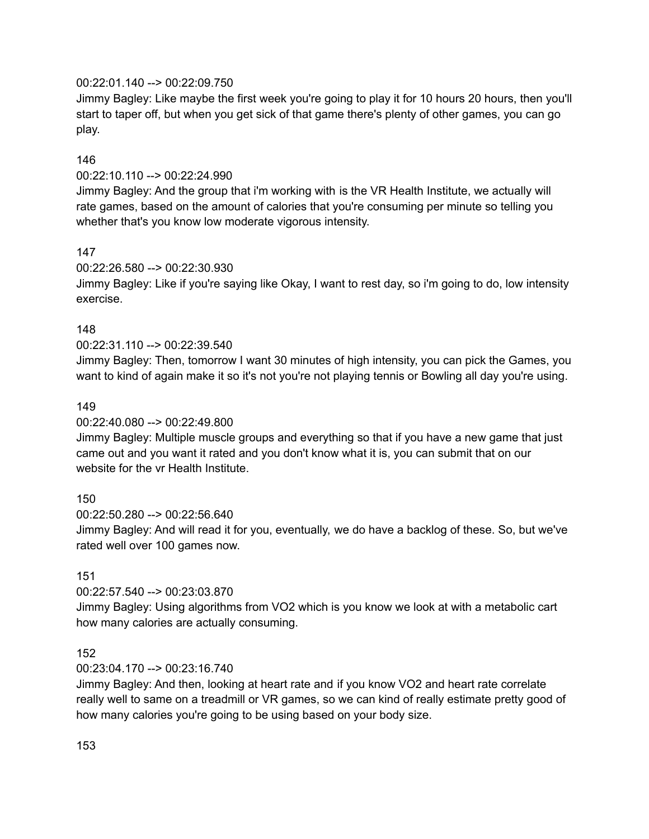### 00:22:01.140 --> 00:22:09.750

Jimmy Bagley: Like maybe the first week you're going to play it for 10 hours 20 hours, then you'll start to taper off, but when you get sick of that game there's plenty of other games, you can go play.

#### 146

### 00:22:10.110 --> 00:22:24.990

Jimmy Bagley: And the group that i'm working with is the VR Health Institute, we actually will rate games, based on the amount of calories that you're consuming per minute so telling you whether that's you know low moderate vigorous intensity.

#### 147

### 00:22:26.580 --> 00:22:30.930

Jimmy Bagley: Like if you're saying like Okay, I want to rest day, so i'm going to do, low intensity exercise.

#### 148

### 00:22:31.110 --> 00:22:39.540

Jimmy Bagley: Then, tomorrow I want 30 minutes of high intensity, you can pick the Games, you want to kind of again make it so it's not you're not playing tennis or Bowling all day you're using.

### 149

#### 00:22:40.080 --> 00:22:49.800

Jimmy Bagley: Multiple muscle groups and everything so that if you have a new game that just came out and you want it rated and you don't know what it is, you can submit that on our website for the vr Health Institute.

# 150

#### 00:22:50.280 --> 00:22:56.640

Jimmy Bagley: And will read it for you, eventually, we do have a backlog of these. So, but we've rated well over 100 games now.

#### 151

# 00:22:57.540 --> 00:23:03.870

Jimmy Bagley: Using algorithms from VO2 which is you know we look at with a metabolic cart how many calories are actually consuming.

#### 152

# 00:23:04.170 --> 00:23:16.740

Jimmy Bagley: And then, looking at heart rate and if you know VO2 and heart rate correlate really well to same on a treadmill or VR games, so we can kind of really estimate pretty good of how many calories you're going to be using based on your body size.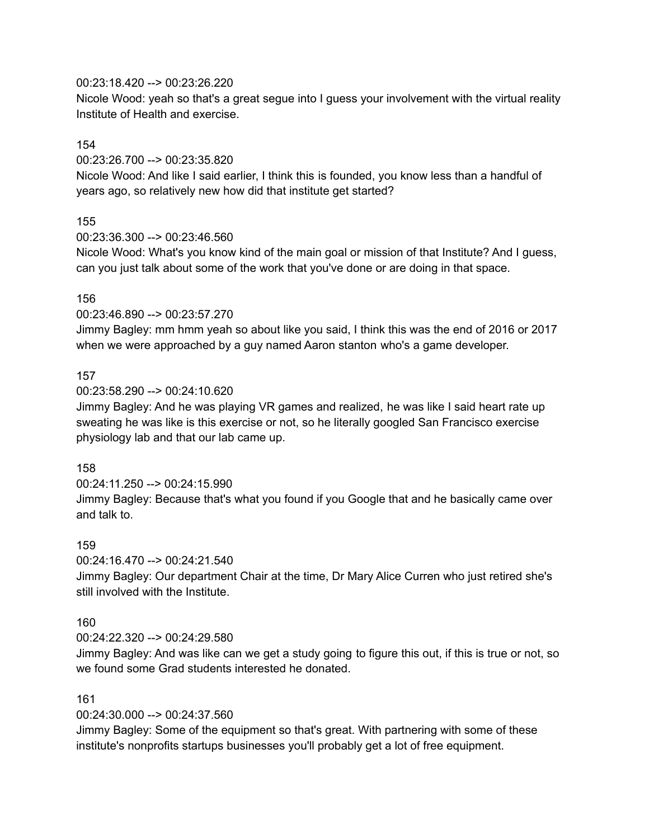00:23:18.420 --> 00:23:26.220

Nicole Wood: yeah so that's a great segue into I guess your involvement with the virtual reality Institute of Health and exercise.

#### 154

00:23:26.700 --> 00:23:35.820

Nicole Wood: And like I said earlier, I think this is founded, you know less than a handful of years ago, so relatively new how did that institute get started?

### 155

00:23:36.300 --> 00:23:46.560

Nicole Wood: What's you know kind of the main goal or mission of that Institute? And I guess, can you just talk about some of the work that you've done or are doing in that space.

#### 156

#### 00:23:46.890 --> 00:23:57.270

Jimmy Bagley: mm hmm yeah so about like you said, I think this was the end of 2016 or 2017 when we were approached by a guy named Aaron stanton who's a game developer.

#### 157

### 00:23:58.290 --> 00:24:10.620

Jimmy Bagley: And he was playing VR games and realized, he was like I said heart rate up sweating he was like is this exercise or not, so he literally googled San Francisco exercise physiology lab and that our lab came up.

#### 158

00:24:11.250 --> 00:24:15.990 Jimmy Bagley: Because that's what you found if you Google that and he basically came over and talk to.

#### 159

00:24:16.470 --> 00:24:21.540

Jimmy Bagley: Our department Chair at the time, Dr Mary Alice Curren who just retired she's still involved with the Institute.

#### 160

#### 00:24:22.320 --> 00:24:29.580

Jimmy Bagley: And was like can we get a study going to figure this out, if this is true or not, so we found some Grad students interested he donated.

#### 161

#### 00:24:30.000 --> 00:24:37.560

Jimmy Bagley: Some of the equipment so that's great. With partnering with some of these institute's nonprofits startups businesses you'll probably get a lot of free equipment.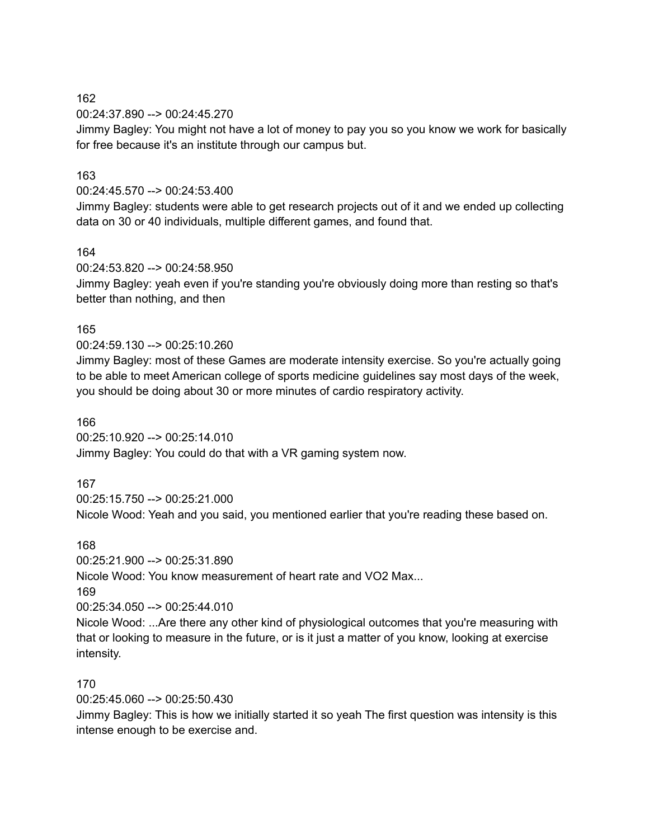00:24:37.890 --> 00:24:45.270

Jimmy Bagley: You might not have a lot of money to pay you so you know we work for basically for free because it's an institute through our campus but.

### 163

#### 00:24:45.570 --> 00:24:53.400

Jimmy Bagley: students were able to get research projects out of it and we ended up collecting data on 30 or 40 individuals, multiple different games, and found that.

#### 164

00:24:53.820 --> 00:24:58.950

Jimmy Bagley: yeah even if you're standing you're obviously doing more than resting so that's better than nothing, and then

#### 165

00:24:59.130 --> 00:25:10.260

Jimmy Bagley: most of these Games are moderate intensity exercise. So you're actually going to be able to meet American college of sports medicine guidelines say most days of the week, you should be doing about 30 or more minutes of cardio respiratory activity.

#### 166

00:25:10.920 --> 00:25:14.010 Jimmy Bagley: You could do that with a VR gaming system now.

#### 167

00:25:15.750 --> 00:25:21.000 Nicole Wood: Yeah and you said, you mentioned earlier that you're reading these based on.

#### 168

00:25:21.900 --> 00:25:31.890 Nicole Wood: You know measurement of heart rate and VO2 Max... 169 00:25:34.050 --> 00:25:44.010 Nicole Wood: ...Are there any other kind of physiological outcomes that you're measuring with that or looking to measure in the future, or is it just a matter of you know, looking at exercise

#### 170

intensity.

00:25:45.060 --> 00:25:50.430

Jimmy Bagley: This is how we initially started it so yeah The first question was intensity is this intense enough to be exercise and.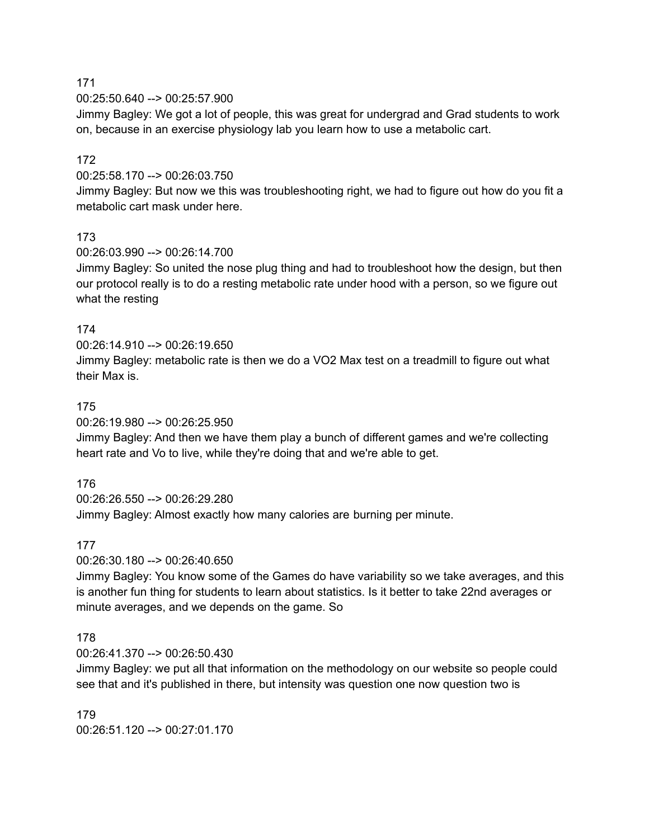00:25:50.640 --> 00:25:57.900

Jimmy Bagley: We got a lot of people, this was great for undergrad and Grad students to work on, because in an exercise physiology lab you learn how to use a metabolic cart.

### 172

00:25:58.170 --> 00:26:03.750

Jimmy Bagley: But now we this was troubleshooting right, we had to figure out how do you fit a metabolic cart mask under here.

#### 173

00:26:03.990 --> 00:26:14.700

Jimmy Bagley: So united the nose plug thing and had to troubleshoot how the design, but then our protocol really is to do a resting metabolic rate under hood with a person, so we figure out what the resting

#### 174

00:26:14.910 --> 00:26:19.650

Jimmy Bagley: metabolic rate is then we do a VO2 Max test on a treadmill to figure out what their Max is.

#### 175

00:26:19.980 --> 00:26:25.950

Jimmy Bagley: And then we have them play a bunch of different games and we're collecting heart rate and Vo to live, while they're doing that and we're able to get.

#### 176

00:26:26.550 --> 00:26:29.280 Jimmy Bagley: Almost exactly how many calories are burning per minute.

#### 177

00:26:30.180 --> 00:26:40.650

Jimmy Bagley: You know some of the Games do have variability so we take averages, and this is another fun thing for students to learn about statistics. Is it better to take 22nd averages or minute averages, and we depends on the game. So

#### 178

00:26:41.370 --> 00:26:50.430

Jimmy Bagley: we put all that information on the methodology on our website so people could see that and it's published in there, but intensity was question one now question two is

179 00:26:51.120 --> 00:27:01.170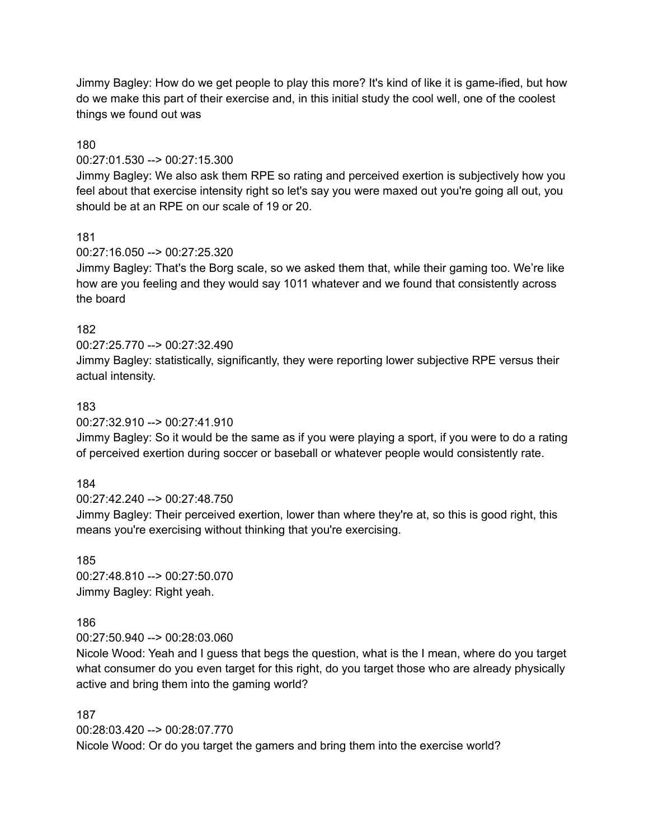Jimmy Bagley: How do we get people to play this more? It's kind of like it is game-ified, but how do we make this part of their exercise and, in this initial study the cool well, one of the coolest things we found out was

### 180

#### 00:27:01.530 --> 00:27:15.300

Jimmy Bagley: We also ask them RPE so rating and perceived exertion is subjectively how you feel about that exercise intensity right so let's say you were maxed out you're going all out, you should be at an RPE on our scale of 19 or 20.

#### 181

#### 00:27:16.050 --> 00:27:25.320

Jimmy Bagley: That's the Borg scale, so we asked them that, while their gaming too. We're like how are you feeling and they would say 1011 whatever and we found that consistently across the board

### 182

 $00:27:25.770 \rightarrow 00:27:32.490$ 

Jimmy Bagley: statistically, significantly, they were reporting lower subjective RPE versus their actual intensity.

### 183

00:27:32.910 --> 00:27:41.910

Jimmy Bagley: So it would be the same as if you were playing a sport, if you were to do a rating of perceived exertion during soccer or baseball or whatever people would consistently rate.

#### 184

00:27:42.240 --> 00:27:48.750

Jimmy Bagley: Their perceived exertion, lower than where they're at, so this is good right, this means you're exercising without thinking that you're exercising.

185 00:27:48.810 --> 00:27:50.070 Jimmy Bagley: Right yeah.

#### 186

00:27:50.940 --> 00:28:03.060

Nicole Wood: Yeah and I guess that begs the question, what is the I mean, where do you target what consumer do you even target for this right, do you target those who are already physically active and bring them into the gaming world?

#### 187

00:28:03.420 --> 00:28:07.770

Nicole Wood: Or do you target the gamers and bring them into the exercise world?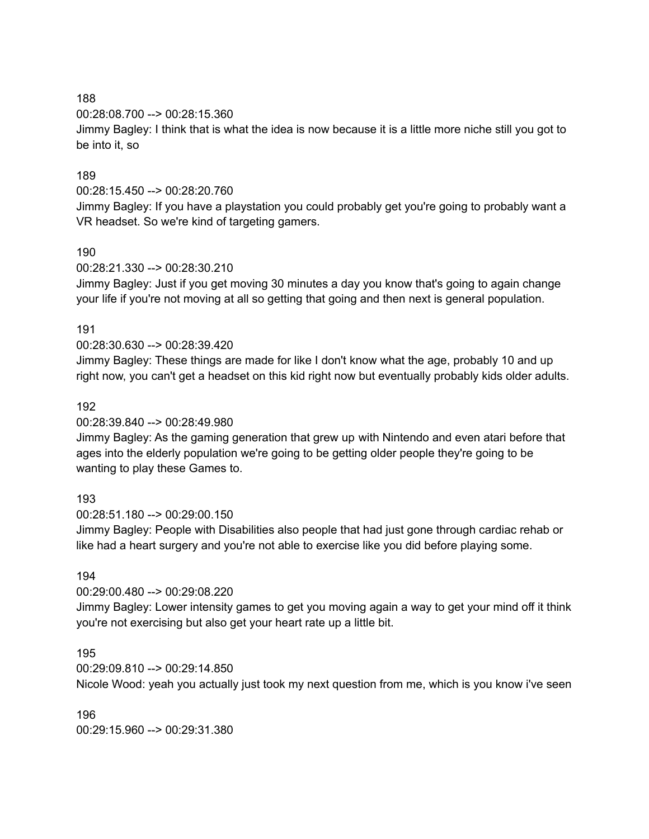00:28:08.700 --> 00:28:15.360

Jimmy Bagley: I think that is what the idea is now because it is a little more niche still you got to be into it, so

# 189

### 00:28:15.450 --> 00:28:20.760

Jimmy Bagley: If you have a playstation you could probably get you're going to probably want a VR headset. So we're kind of targeting gamers.

# 190

### 00:28:21.330 --> 00:28:30.210

Jimmy Bagley: Just if you get moving 30 minutes a day you know that's going to again change your life if you're not moving at all so getting that going and then next is general population.

### 191

### 00:28:30.630 --> 00:28:39.420

Jimmy Bagley: These things are made for like I don't know what the age, probably 10 and up right now, you can't get a headset on this kid right now but eventually probably kids older adults.

### 192

### 00:28:39.840 --> 00:28:49.980

Jimmy Bagley: As the gaming generation that grew up with Nintendo and even atari before that ages into the elderly population we're going to be getting older people they're going to be wanting to play these Games to.

# 193

00:28:51.180 --> 00:29:00.150

Jimmy Bagley: People with Disabilities also people that had just gone through cardiac rehab or like had a heart surgery and you're not able to exercise like you did before playing some.

#### 194

# 00:29:00.480 --> 00:29:08.220

Jimmy Bagley: Lower intensity games to get you moving again a way to get your mind off it think you're not exercising but also get your heart rate up a little bit.

#### 195

00:29:09.810 --> 00:29:14.850

Nicole Wood: yeah you actually just took my next question from me, which is you know i've seen

196 00:29:15.960 --> 00:29:31.380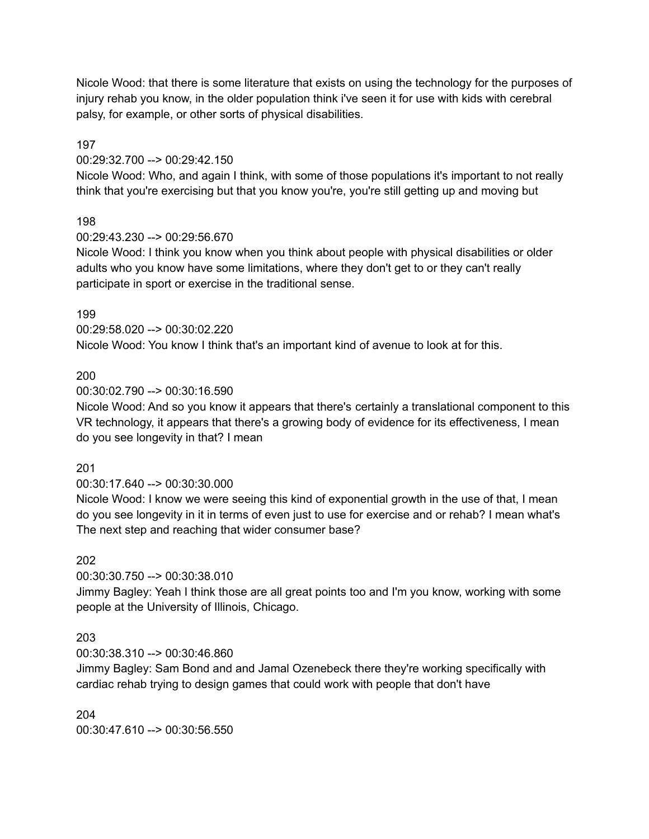Nicole Wood: that there is some literature that exists on using the technology for the purposes of injury rehab you know, in the older population think i've seen it for use with kids with cerebral palsy, for example, or other sorts of physical disabilities.

197

### 00:29:32.700 --> 00:29:42.150

Nicole Wood: Who, and again I think, with some of those populations it's important to not really think that you're exercising but that you know you're, you're still getting up and moving but

# 198

### 00:29:43.230 --> 00:29:56.670

Nicole Wood: I think you know when you think about people with physical disabilities or older adults who you know have some limitations, where they don't get to or they can't really participate in sport or exercise in the traditional sense.

### 199

00:29:58.020 --> 00:30:02.220 Nicole Wood: You know I think that's an important kind of avenue to look at for this.

### 200

### 00:30:02.790 --> 00:30:16.590

Nicole Wood: And so you know it appears that there's certainly a translational component to this VR technology, it appears that there's a growing body of evidence for its effectiveness, I mean do you see longevity in that? I mean

#### 201

#### 00:30:17.640 --> 00:30:30.000

Nicole Wood: I know we were seeing this kind of exponential growth in the use of that, I mean do you see longevity in it in terms of even just to use for exercise and or rehab? I mean what's The next step and reaching that wider consumer base?

#### 202

# 00:30:30.750 --> 00:30:38.010

Jimmy Bagley: Yeah I think those are all great points too and I'm you know, working with some people at the University of Illinois, Chicago.

# 203

# 00:30:38.310 --> 00:30:46.860

Jimmy Bagley: Sam Bond and and Jamal Ozenebeck there they're working specifically with cardiac rehab trying to design games that could work with people that don't have

204 00:30:47.610 --> 00:30:56.550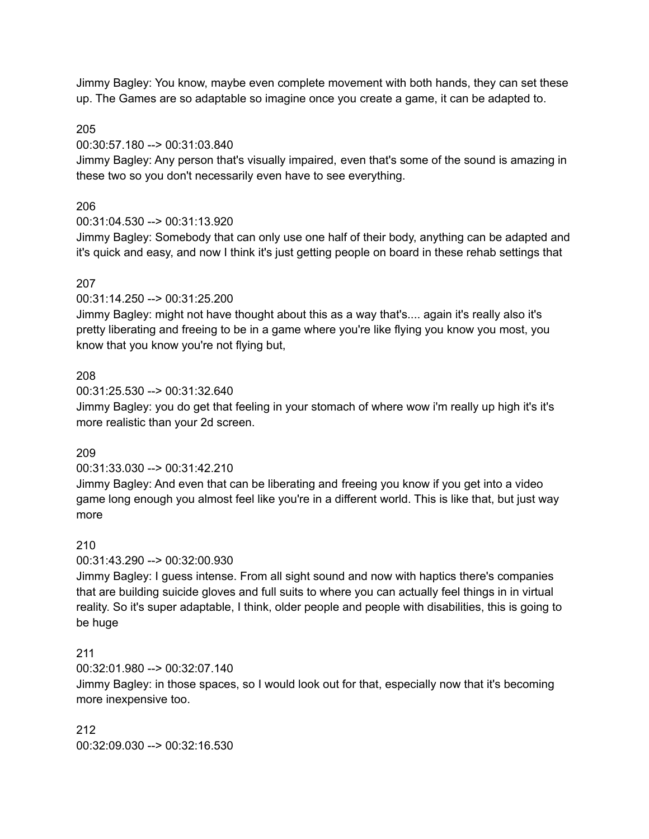Jimmy Bagley: You know, maybe even complete movement with both hands, they can set these up. The Games are so adaptable so imagine once you create a game, it can be adapted to.

#### 205

00:30:57.180 --> 00:31:03.840

Jimmy Bagley: Any person that's visually impaired, even that's some of the sound is amazing in these two so you don't necessarily even have to see everything.

### 206

#### 00:31:04.530 --> 00:31:13.920

Jimmy Bagley: Somebody that can only use one half of their body, anything can be adapted and it's quick and easy, and now I think it's just getting people on board in these rehab settings that

### 207

00:31:14.250 --> 00:31:25.200

Jimmy Bagley: might not have thought about this as a way that's.... again it's really also it's pretty liberating and freeing to be in a game where you're like flying you know you most, you know that you know you're not flying but,

#### 208

00:31:25.530 --> 00:31:32.640

Jimmy Bagley: you do get that feeling in your stomach of where wow i'm really up high it's it's more realistic than your 2d screen.

#### 209

#### 00:31:33.030 --> 00:31:42.210

Jimmy Bagley: And even that can be liberating and freeing you know if you get into a video game long enough you almost feel like you're in a different world. This is like that, but just way more

#### 210

#### 00:31:43.290 --> 00:32:00.930

Jimmy Bagley: I guess intense. From all sight sound and now with haptics there's companies that are building suicide gloves and full suits to where you can actually feel things in in virtual reality. So it's super adaptable, I think, older people and people with disabilities, this is going to be huge

#### 211

00:32:01.980 --> 00:32:07.140

Jimmy Bagley: in those spaces, so I would look out for that, especially now that it's becoming more inexpensive too.

212 00:32:09.030 --> 00:32:16.530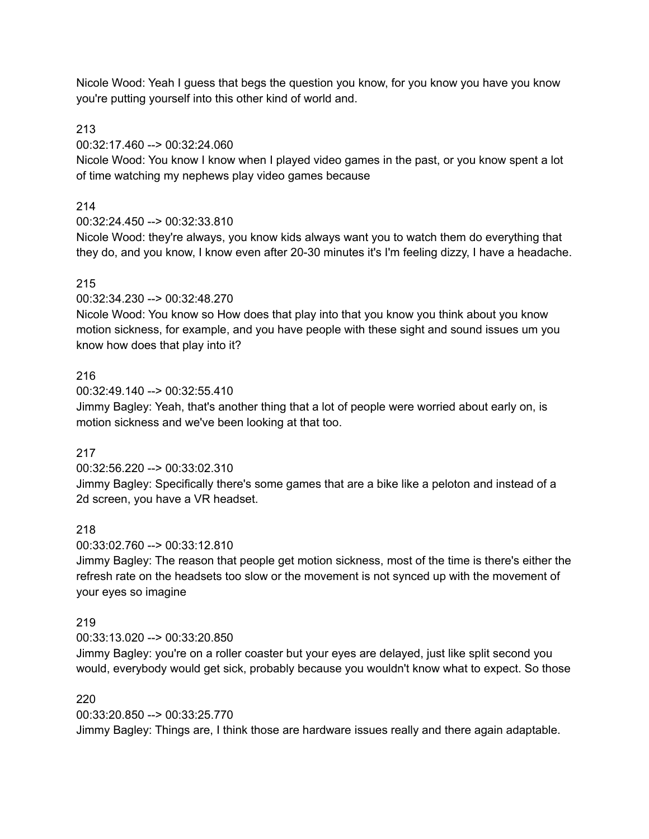Nicole Wood: Yeah I guess that begs the question you know, for you know you have you know you're putting yourself into this other kind of world and.

213

00:32:17.460 --> 00:32:24.060

Nicole Wood: You know I know when I played video games in the past, or you know spent a lot of time watching my nephews play video games because

# 214

00:32:24.450 --> 00:32:33.810

Nicole Wood: they're always, you know kids always want you to watch them do everything that they do, and you know, I know even after 20-30 minutes it's I'm feeling dizzy, I have a headache.

# 215

00:32:34.230 --> 00:32:48.270

Nicole Wood: You know so How does that play into that you know you think about you know motion sickness, for example, and you have people with these sight and sound issues um you know how does that play into it?

# 216

00:32:49.140 --> 00:32:55.410

Jimmy Bagley: Yeah, that's another thing that a lot of people were worried about early on, is motion sickness and we've been looking at that too.

# 217

00:32:56.220 --> 00:33:02.310

Jimmy Bagley: Specifically there's some games that are a bike like a peloton and instead of a 2d screen, you have a VR headset.

# 218

00:33:02.760 --> 00:33:12.810

Jimmy Bagley: The reason that people get motion sickness, most of the time is there's either the refresh rate on the headsets too slow or the movement is not synced up with the movement of your eyes so imagine

# 219

00:33:13.020 --> 00:33:20.850

Jimmy Bagley: you're on a roller coaster but your eyes are delayed, just like split second you would, everybody would get sick, probably because you wouldn't know what to expect. So those

# 220

00:33:20.850 --> 00:33:25.770 Jimmy Bagley: Things are, I think those are hardware issues really and there again adaptable.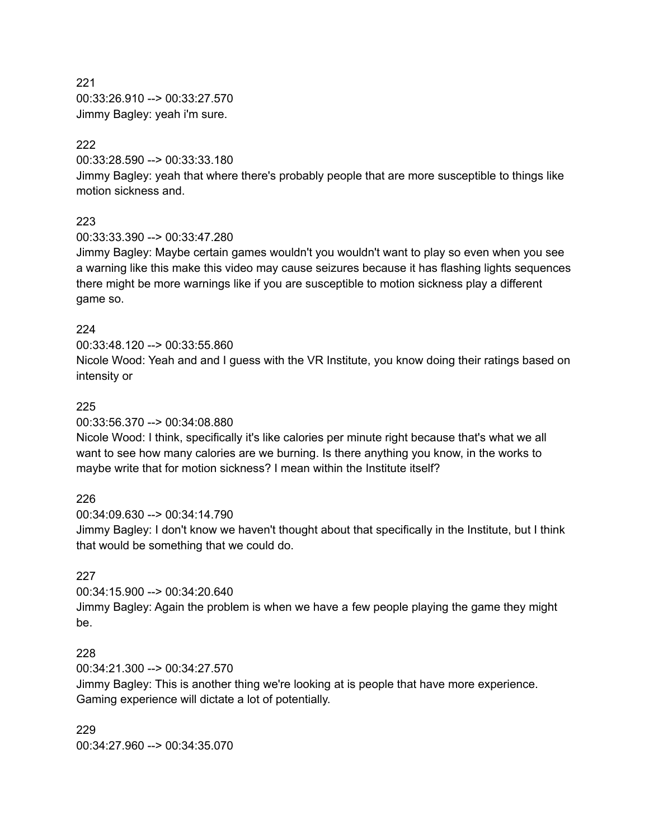221 00:33:26.910 --> 00:33:27.570 Jimmy Bagley: yeah i'm sure.

# 222

00:33:28.590 --> 00:33:33.180

Jimmy Bagley: yeah that where there's probably people that are more susceptible to things like motion sickness and.

# 223

00:33:33.390 --> 00:33:47.280

Jimmy Bagley: Maybe certain games wouldn't you wouldn't want to play so even when you see a warning like this make this video may cause seizures because it has flashing lights sequences there might be more warnings like if you are susceptible to motion sickness play a different game so.

# 224

00:33:48.120 --> 00:33:55.860

Nicole Wood: Yeah and and I guess with the VR Institute, you know doing their ratings based on intensity or

# 225

00:33:56.370 --> 00:34:08.880

Nicole Wood: I think, specifically it's like calories per minute right because that's what we all want to see how many calories are we burning. Is there anything you know, in the works to maybe write that for motion sickness? I mean within the Institute itself?

# 226

00:34:09.630 --> 00:34:14.790

Jimmy Bagley: I don't know we haven't thought about that specifically in the Institute, but I think that would be something that we could do.

# 227

00:34:15.900 --> 00:34:20.640 Jimmy Bagley: Again the problem is when we have a few people playing the game they might be.

# 228

00:34:21.300 --> 00:34:27.570

Jimmy Bagley: This is another thing we're looking at is people that have more experience. Gaming experience will dictate a lot of potentially.

229 00:34:27.960 --> 00:34:35.070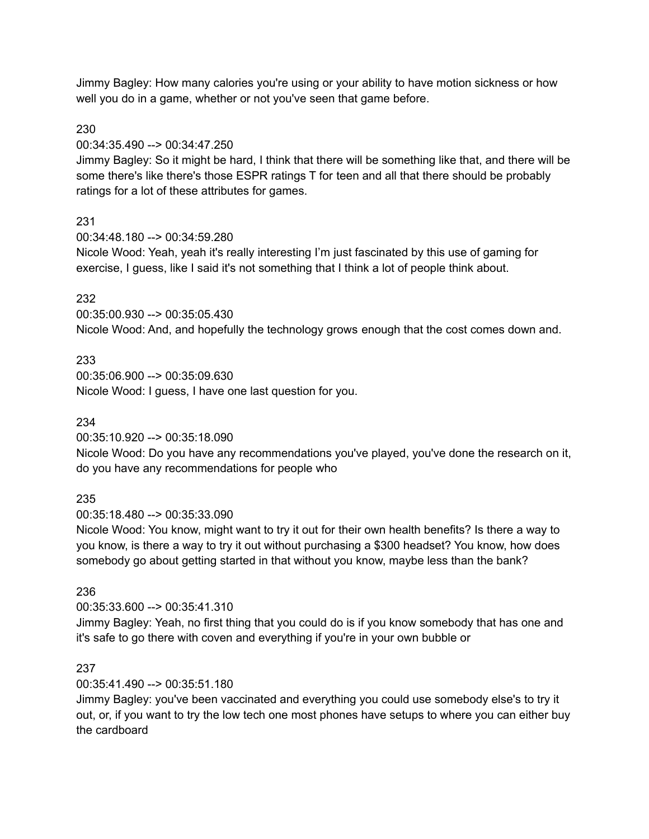Jimmy Bagley: How many calories you're using or your ability to have motion sickness or how well you do in a game, whether or not you've seen that game before.

### 230

00:34:35.490 --> 00:34:47.250

Jimmy Bagley: So it might be hard, I think that there will be something like that, and there will be some there's like there's those ESPR ratings T for teen and all that there should be probably ratings for a lot of these attributes for games.

### 231

00:34:48.180 --> 00:34:59.280

Nicole Wood: Yeah, yeah it's really interesting I'm just fascinated by this use of gaming for exercise, I guess, like I said it's not something that I think a lot of people think about.

### 232

00:35:00.930 --> 00:35:05.430

Nicole Wood: And, and hopefully the technology grows enough that the cost comes down and.

### 233

00:35:06.900 --> 00:35:09.630 Nicole Wood: I guess, I have one last question for you.

#### 234

00:35:10.920 --> 00:35:18.090

Nicole Wood: Do you have any recommendations you've played, you've done the research on it, do you have any recommendations for people who

#### 235

00:35:18.480 --> 00:35:33.090

Nicole Wood: You know, might want to try it out for their own health benefits? Is there a way to you know, is there a way to try it out without purchasing a \$300 headset? You know, how does somebody go about getting started in that without you know, maybe less than the bank?

#### 236

00:35:33.600 --> 00:35:41.310

Jimmy Bagley: Yeah, no first thing that you could do is if you know somebody that has one and it's safe to go there with coven and everything if you're in your own bubble or

#### 237

00:35:41.490 --> 00:35:51.180

Jimmy Bagley: you've been vaccinated and everything you could use somebody else's to try it out, or, if you want to try the low tech one most phones have setups to where you can either buy the cardboard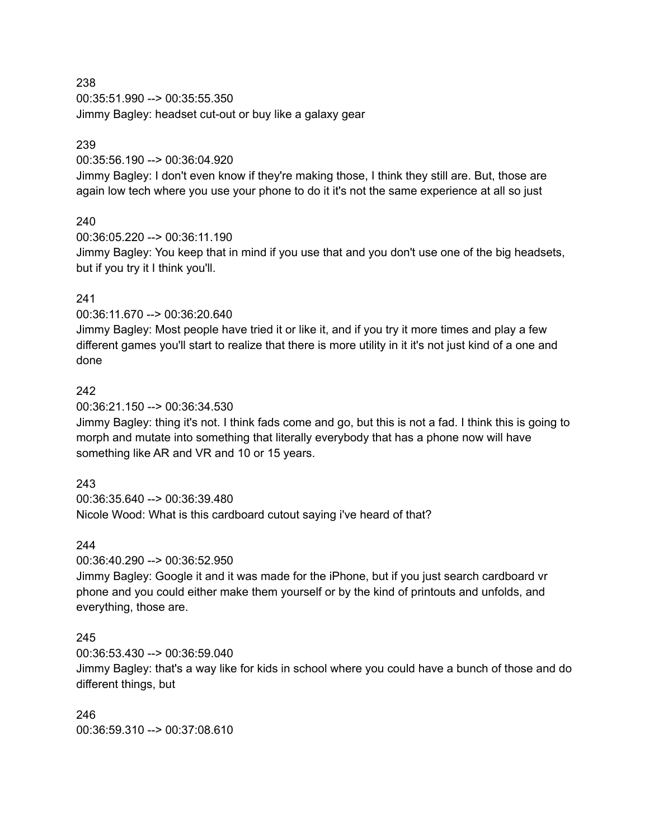00:35:51.990 --> 00:35:55.350 Jimmy Bagley: headset cut-out or buy like a galaxy gear

### 239

00:35:56.190 --> 00:36:04.920

Jimmy Bagley: I don't even know if they're making those, I think they still are. But, those are again low tech where you use your phone to do it it's not the same experience at all so just

# 240

00:36:05.220 --> 00:36:11.190

Jimmy Bagley: You keep that in mind if you use that and you don't use one of the big headsets, but if you try it I think you'll.

### 241

00:36:11.670 --> 00:36:20.640

Jimmy Bagley: Most people have tried it or like it, and if you try it more times and play a few different games you'll start to realize that there is more utility in it it's not just kind of a one and done

### 242

00:36:21.150 --> 00:36:34.530

Jimmy Bagley: thing it's not. I think fads come and go, but this is not a fad. I think this is going to morph and mutate into something that literally everybody that has a phone now will have something like AR and VR and 10 or 15 years.

# 243

00:36:35.640 --> 00:36:39.480 Nicole Wood: What is this cardboard cutout saying i've heard of that?

#### 244

00:36:40.290 --> 00:36:52.950

Jimmy Bagley: Google it and it was made for the iPhone, but if you just search cardboard vr phone and you could either make them yourself or by the kind of printouts and unfolds, and everything, those are.

# 245

00:36:53.430 --> 00:36:59.040

Jimmy Bagley: that's a way like for kids in school where you could have a bunch of those and do different things, but

246 00:36:59.310 --> 00:37:08.610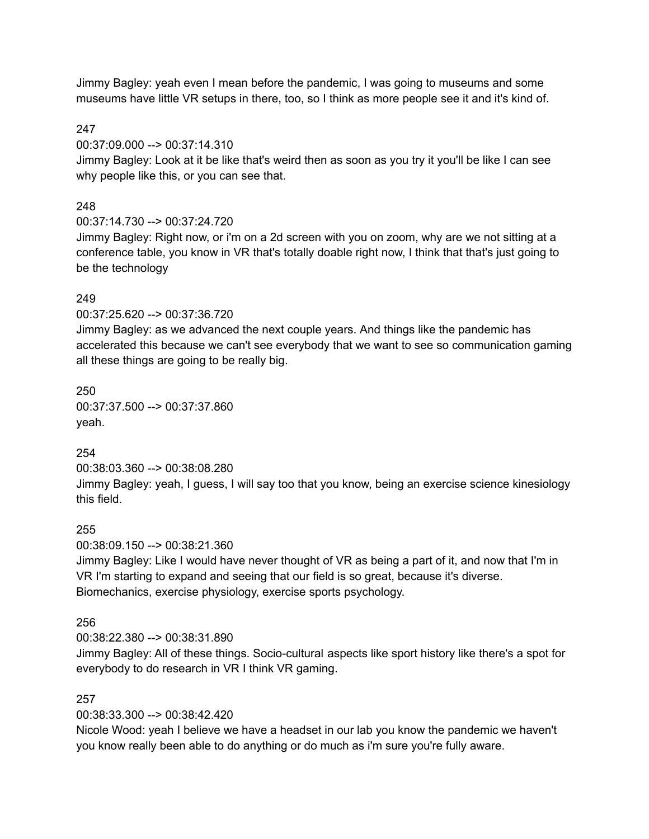Jimmy Bagley: yeah even I mean before the pandemic, I was going to museums and some museums have little VR setups in there, too, so I think as more people see it and it's kind of.

### 247

00:37:09.000 --> 00:37:14.310

Jimmy Bagley: Look at it be like that's weird then as soon as you try it you'll be like I can see why people like this, or you can see that.

### 248

00:37:14.730 --> 00:37:24.720

Jimmy Bagley: Right now, or i'm on a 2d screen with you on zoom, why are we not sitting at a conference table, you know in VR that's totally doable right now, I think that that's just going to be the technology

### 249

00:37:25.620 --> 00:37:36.720

Jimmy Bagley: as we advanced the next couple years. And things like the pandemic has accelerated this because we can't see everybody that we want to see so communication gaming all these things are going to be really big.

### 250

00:37:37.500 --> 00:37:37.860 yeah.

# 254

00:38:03.360 --> 00:38:08.280 Jimmy Bagley: yeah, I guess, I will say too that you know, being an exercise science kinesiology this field.

# 255

00:38:09.150 --> 00:38:21.360

Jimmy Bagley: Like I would have never thought of VR as being a part of it, and now that I'm in VR I'm starting to expand and seeing that our field is so great, because it's diverse. Biomechanics, exercise physiology, exercise sports psychology.

#### 256

00:38:22.380 --> 00:38:31.890

Jimmy Bagley: All of these things. Socio-cultural aspects like sport history like there's a spot for everybody to do research in VR I think VR gaming.

#### 257

00:38:33.300 --> 00:38:42.420

Nicole Wood: yeah I believe we have a headset in our lab you know the pandemic we haven't you know really been able to do anything or do much as i'm sure you're fully aware.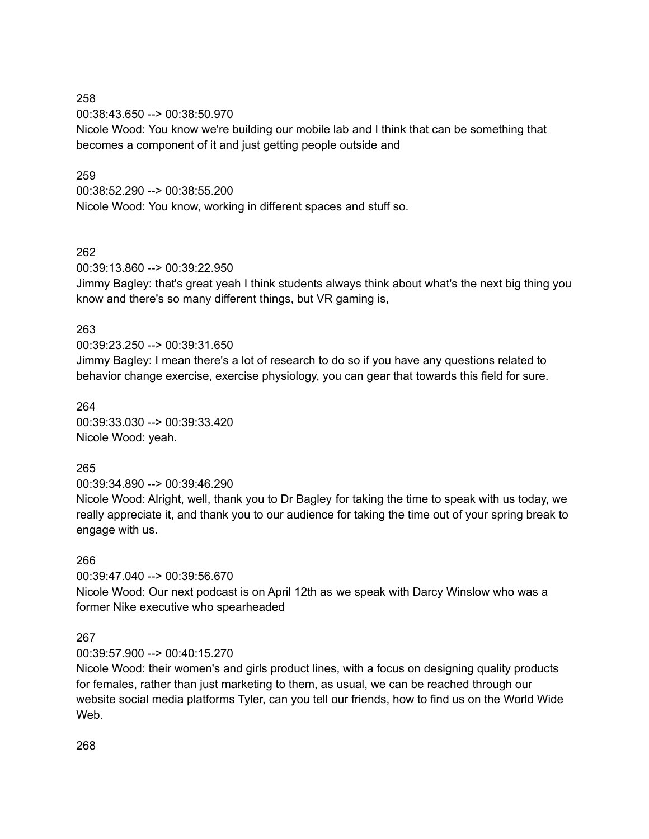00:38:43.650 --> 00:38:50.970 Nicole Wood: You know we're building our mobile lab and I think that can be something that becomes a component of it and just getting people outside and

### 259

00:38:52.290 --> 00:38:55.200 Nicole Wood: You know, working in different spaces and stuff so.

### 262

00:39:13.860 --> 00:39:22.950

Jimmy Bagley: that's great yeah I think students always think about what's the next big thing you know and there's so many different things, but VR gaming is,

### 263

00:39:23.250 --> 00:39:31.650 Jimmy Bagley: I mean there's a lot of research to do so if you have any questions related to behavior change exercise, exercise physiology, you can gear that towards this field for sure.

#### 264

00:39:33.030 --> 00:39:33.420 Nicole Wood: yeah.

# 265

00:39:34.890 --> 00:39:46.290

Nicole Wood: Alright, well, thank you to Dr Bagley for taking the time to speak with us today, we really appreciate it, and thank you to our audience for taking the time out of your spring break to engage with us.

# 266

00:39:47.040 --> 00:39:56.670

Nicole Wood: Our next podcast is on April 12th as we speak with Darcy Winslow who was a former Nike executive who spearheaded

# 267

00:39:57.900 --> 00:40:15.270

Nicole Wood: their women's and girls product lines, with a focus on designing quality products for females, rather than just marketing to them, as usual, we can be reached through our website social media platforms Tyler, can you tell our friends, how to find us on the World Wide Web.

268